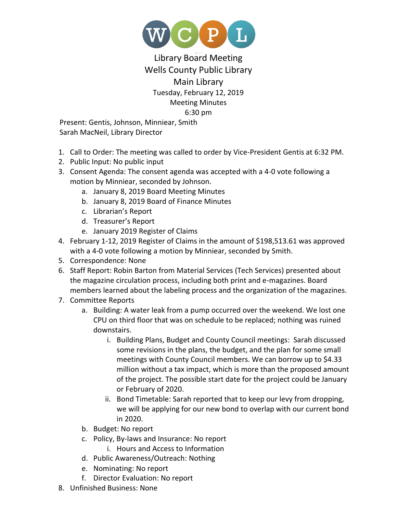

## Library Board Meeting Wells County Public Library Main Library Tuesday, February 12, 2019 Meeting Minutes 6:30 pm

 Present: Gentis, Johnson, Minniear, Smith Sarah MacNeil, Library Director

- 1. Call to Order: The meeting was called to order by Vice-President Gentis at 6:32 PM.
- 2. Public Input: No public input
- 3. Consent Agenda: The consent agenda was accepted with a 4-0 vote following a motion by Minniear, seconded by Johnson.
	- a. January 8, 2019 Board Meeting Minutes
	- b. January 8, 2019 Board of Finance Minutes
	- c. Librarian's Report
	- d. Treasurer's Report
	- e. January 2019 Register of Claims
- 4. February 1-12, 2019 Register of Claims in the amount of \$198,513.61 was approved with a 4-0 vote following a motion by Minniear, seconded by Smith.
- 5. Correspondence: None
- 6. Staff Report: Robin Barton from Material Services (Tech Services) presented about the magazine circulation process, including both print and e-magazines. Board members learned about the labeling process and the organization of the magazines.
- 7. Committee Reports
	- a. Building: A water leak from a pump occurred over the weekend. We lost one CPU on third floor that was on schedule to be replaced; nothing was ruined downstairs.
		- i. Building Plans, Budget and County Council meetings: Sarah discussed some revisions in the plans, the budget, and the plan for some small meetings with County Council members. We can borrow up to \$4.33 million without a tax impact, which is more than the proposed amount of the project. The possible start date for the project could be January or February of 2020.
		- ii. Bond Timetable: Sarah reported that to keep our levy from dropping, we will be applying for our new bond to overlap with our current bond in 2020.
	- b. Budget: No report
	- c. Policy, By-laws and Insurance: No report
		- i. Hours and Access to Information
	- d. Public Awareness/Outreach: Nothing
	- e. Nominating: No report
	- f. Director Evaluation: No report
- 8. Unfinished Business: None